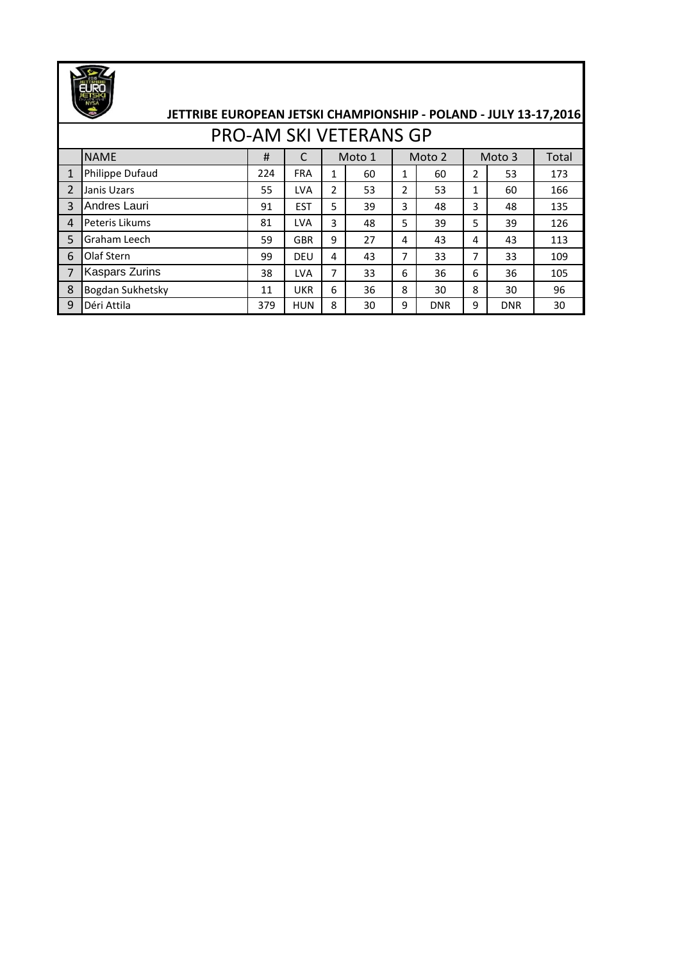

|                |                       |     |            |                | <b>PRO-AM SKI VETERANS GP</b> |   |            |   |            |       |
|----------------|-----------------------|-----|------------|----------------|-------------------------------|---|------------|---|------------|-------|
|                | <b>NAME</b>           | #   | C          |                | Moto 1                        |   | Moto 2     |   | Moto 3     | Total |
| 1              | Philippe Dufaud       | 224 | <b>FRA</b> |                | 60                            | 1 | 60         | 2 | 53         | 173   |
| $\mathfrak{p}$ | Janis Uzars           | 55  | <b>LVA</b> | $\overline{2}$ | 53                            | 2 | 53         | 1 | 60         | 166   |
| 3              | Andres Lauri          | 91  | <b>EST</b> | 5              | 39                            | 3 | 48         | 3 | 48         | 135   |
| 4              | Peteris Likums        | 81  | <b>LVA</b> | 3              | 48                            | 5 | 39         | 5 | 39         | 126   |
| 5              | Graham Leech          | 59  | <b>GBR</b> | 9              | 27                            | 4 | 43         | 4 | 43         | 113   |
| 6              | Olaf Stern            | 99  | <b>DEU</b> | 4              | 43                            | 7 | 33         | 7 | 33         | 109   |
| $\overline{7}$ | <b>Kaspars Zurins</b> | 38  | <b>LVA</b> | 7              | 33                            | 6 | 36         | 6 | 36         | 105   |
| 8              | Bogdan Sukhetsky      | 11  | <b>UKR</b> | 6              | 36                            | 8 | 30         | 8 | 30         | 96    |
| 9              | Déri Attila           | 379 | <b>HUN</b> | 8              | 30                            | 9 | <b>DNR</b> | 9 | <b>DNR</b> | 30    |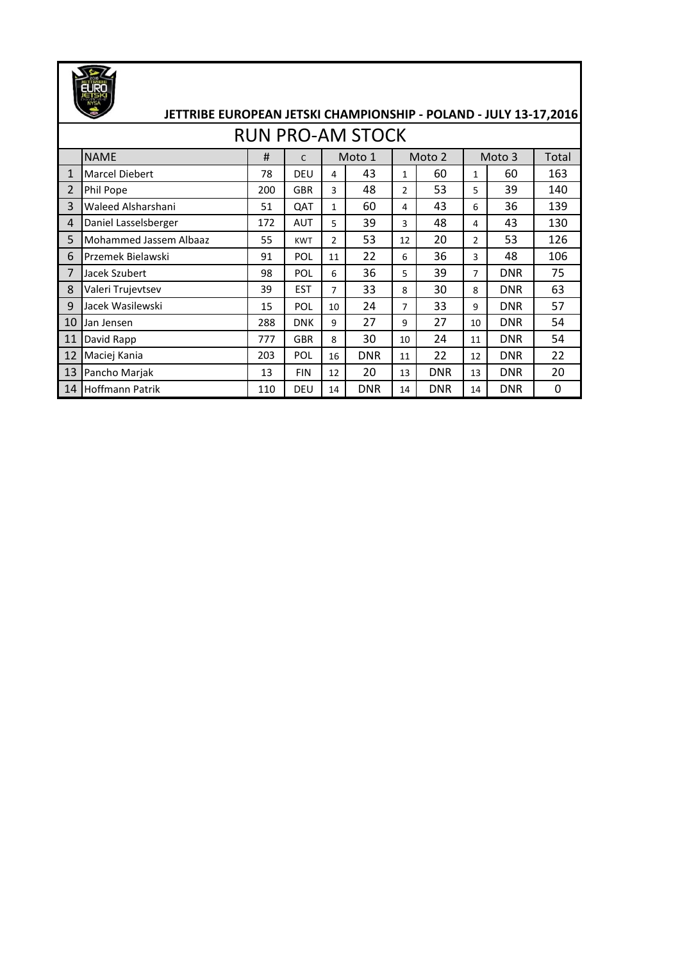

|    |                               |     |              |                | <b>RUN PRO-AM STOCK</b> |                |            |                |            |       |
|----|-------------------------------|-----|--------------|----------------|-------------------------|----------------|------------|----------------|------------|-------|
|    | <b>NAME</b>                   | #   | $\mathsf{C}$ |                | Moto 1                  |                | Moto 2     |                | Moto 3     | Total |
| 1  | <b>Marcel Diebert</b>         | 78  | DEU          | 4              | 43                      | $\mathbf{1}$   | 60         | 1              | 60         | 163   |
| 2  | Phil Pope                     | 200 | <b>GBR</b>   | 3              | 48                      | $\overline{2}$ | 53         | 5              | 39         | 140   |
| 3  | Waleed Alsharshani            | 51  | QAT          | $\mathbf{1}$   | 60                      | 4              | 43         | 6              | 36         | 139   |
| 4  | Daniel Lasselsberger          | 172 | <b>AUT</b>   | 5              | 39                      | 3              | 48         | 4              | 43         | 130   |
| 5  | <b>Mohammed Jassem Albaaz</b> | 55  | <b>KWT</b>   | $\overline{2}$ | 53                      | 12             | 20         | $\overline{2}$ | 53         | 126   |
| 6  | Przemek Bielawski             | 91  | <b>POL</b>   | 11             | 22                      | 6              | 36         | 3              | 48         | 106   |
| 7  | Jacek Szubert                 | 98  | POL          | 6              | 36                      | 5              | 39         | $\overline{7}$ | <b>DNR</b> | 75    |
| 8  | Valeri Trujevtsev             | 39  | EST          | 7              | 33                      | 8              | 30         | 8              | <b>DNR</b> | 63    |
| 9  | Jacek Wasilewski              | 15  | POL          | 10             | 24                      | 7              | 33         | 9              | <b>DNR</b> | 57    |
| 10 | Jan Jensen                    | 288 | <b>DNK</b>   | 9              | 27                      | 9              | 27         | 10             | <b>DNR</b> | 54    |
| 11 | David Rapp                    | 777 | <b>GBR</b>   | 8              | 30                      | 10             | 24         | 11             | <b>DNR</b> | 54    |
| 12 | Maciej Kania                  | 203 | <b>POL</b>   | 16             | <b>DNR</b>              | 11             | 22         | 12             | <b>DNR</b> | 22    |
| 13 | Pancho Marjak                 | 13  | <b>FIN</b>   | 12             | 20                      | 13             | <b>DNR</b> | 13             | <b>DNR</b> | 20    |
| 14 | Hoffmann Patrik               | 110 | <b>DEU</b>   | 14             | <b>DNR</b>              | 14             | <b>DNR</b> | 14             | <b>DNR</b> | 0     |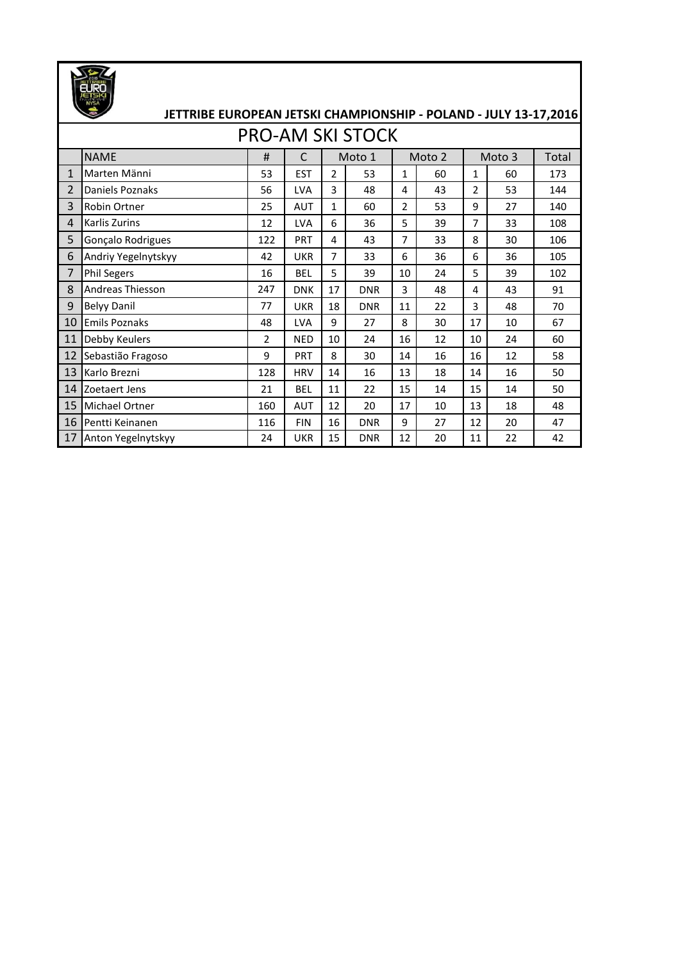

|                |                        |                |            |                | <b>PRO-AM SKI STOCK</b> |                |        |    |        |       |
|----------------|------------------------|----------------|------------|----------------|-------------------------|----------------|--------|----|--------|-------|
|                | <b>NAME</b>            | #              | C          |                | Moto 1                  |                | Moto 2 |    | Moto 3 | Total |
| 1              | Marten Männi           | 53             | <b>EST</b> | $\overline{2}$ | 53                      | $\mathbf{1}$   | 60     | 1  | 60     | 173   |
| $\overline{2}$ | <b>Daniels Poznaks</b> | 56             | <b>LVA</b> | 3              | 48                      | 4              | 43     | 2  | 53     | 144   |
| 3              | <b>Robin Ortner</b>    | 25             | <b>AUT</b> | 1              | 60                      | $\overline{2}$ | 53     | 9  | 27     | 140   |
| 4              | <b>Karlis Zurins</b>   | 12             | <b>LVA</b> | 6              | 36                      | 5              | 39     | 7  | 33     | 108   |
| 5              | Gonçalo Rodrigues      | 122            | <b>PRT</b> | 4              | 43                      | 7              | 33     | 8  | 30     | 106   |
| 6              | Andriy Yegelnytskyy    | 42             | <b>UKR</b> | 7              | 33                      | 6              | 36     | 6  | 36     | 105   |
| 7              | <b>Phil Segers</b>     | 16             | <b>BEL</b> | 5              | 39                      | 10             | 24     | 5  | 39     | 102   |
| 8              | Andreas Thiesson       | 247            | <b>DNK</b> | 17             | <b>DNR</b>              | 3              | 48     | 4  | 43     | 91    |
| 9              | <b>Belyy Danil</b>     | 77             | <b>UKR</b> | 18             | <b>DNR</b>              | 11             | 22     | 3  | 48     | 70    |
| 10             | <b>Emils Poznaks</b>   | 48             | <b>LVA</b> | 9              | 27                      | 8              | 30     | 17 | 10     | 67    |
| 11             | Debby Keulers          | $\overline{2}$ | <b>NED</b> | 10             | 24                      | 16             | 12     | 10 | 24     | 60    |
| 12             | Sebastião Fragoso      | 9              | <b>PRT</b> | 8              | 30                      | 14             | 16     | 16 | 12     | 58    |
| 13             | Karlo Brezni           | 128            | <b>HRV</b> | 14             | 16                      | 13             | 18     | 14 | 16     | 50    |
| 14             | Zoetaert Jens          | 21             | <b>BEL</b> | 11             | 22                      | 15             | 14     | 15 | 14     | 50    |
| 15             | <b>Michael Ortner</b>  | 160            | <b>AUT</b> | 12             | 20                      | 17             | 10     | 13 | 18     | 48    |
| 16             | Pentti Keinanen        | 116            | <b>FIN</b> | 16             | <b>DNR</b>              | 9              | 27     | 12 | 20     | 47    |
| 17             | Anton Yegelnytskyy     | 24             | <b>UKR</b> | 15             | <b>DNR</b>              | 12             | 20     | 11 | 22     | 42    |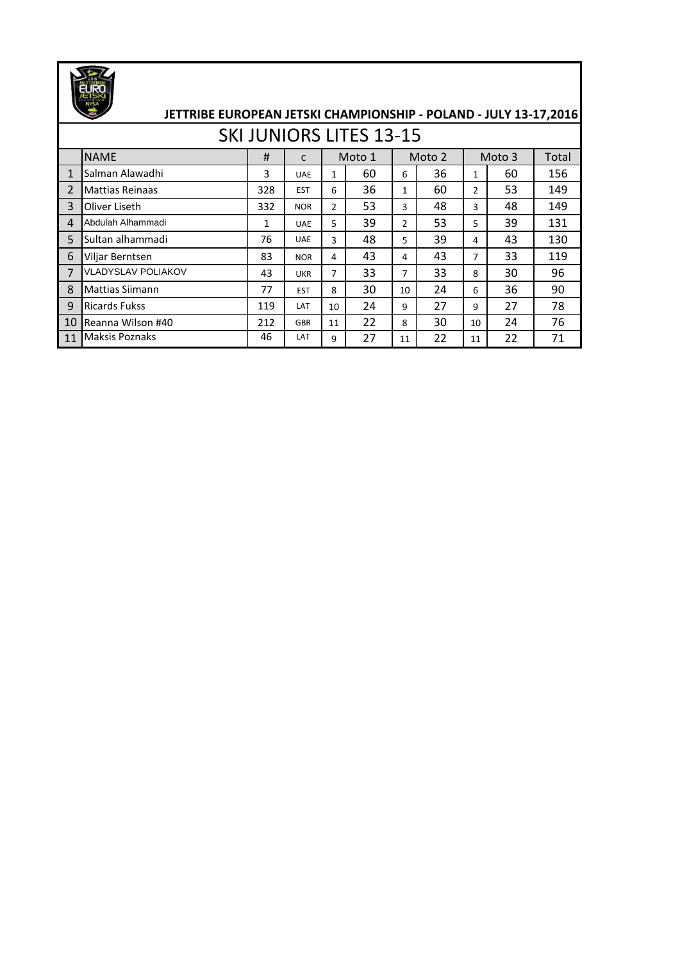

|                         |                           |              |            |                | <b>SKI JUNIORS LITES 13-15</b> |                |        |    |        |       |
|-------------------------|---------------------------|--------------|------------|----------------|--------------------------------|----------------|--------|----|--------|-------|
|                         | <b>NAME</b>               | #            | C          |                | Moto 1                         |                | Moto 2 |    | Moto 3 | Total |
| 1                       | Salman Alawadhi           | 3            | <b>UAE</b> | 1              | 60                             | 6              | 36     | 1  | 60     | 156   |
| $\overline{\mathbf{c}}$ | Mattias Reinaas           | 328          | <b>EST</b> | 6              | 36                             | 1              | 60     | 2  | 53     | 149   |
| 3                       | Oliver Liseth             | 332          | <b>NOR</b> | $\overline{2}$ | 53                             | 3              | 48     | 3  | 48     | 149   |
| $\overline{4}$          | Abdulah Alhammadi         | $\mathbf{1}$ | <b>UAE</b> | 5              | 39                             | $\overline{2}$ | 53     | 5  | 39     | 131   |
| 5                       | Sultan alhammadi          | 76           | <b>UAE</b> | 3              | 48                             | 5              | 39     | 4  | 43     | 130   |
| 6                       | Viljar Berntsen           | 83           | <b>NOR</b> | 4              | 43                             | 4              | 43     | 7  | 33     | 119   |
| $\overline{7}$          | <b>VLADYSLAV POLIAKOV</b> | 43           | <b>UKR</b> | 7              | 33                             | 7              | 33     | 8  | 30     | 96    |
| 8                       | <b>Mattias Siimann</b>    | 77           | <b>EST</b> | 8              | 30                             | 10             | 24     | 6  | 36     | 90    |
| 9                       | <b>Ricards Fukss</b>      | 119          | LAT        | 10             | 24                             | 9              | 27     | 9  | 27     | 78    |
| 10                      | <b>IReanna Wilson #40</b> | 212          | <b>GBR</b> | 11             | 22                             | 8              | 30     | 10 | 24     | 76    |
| 11                      | <b>Maksis Poznaks</b>     | 46           | LAT        | 9              | 27                             | 11             | 22     | 11 | 22     | 71    |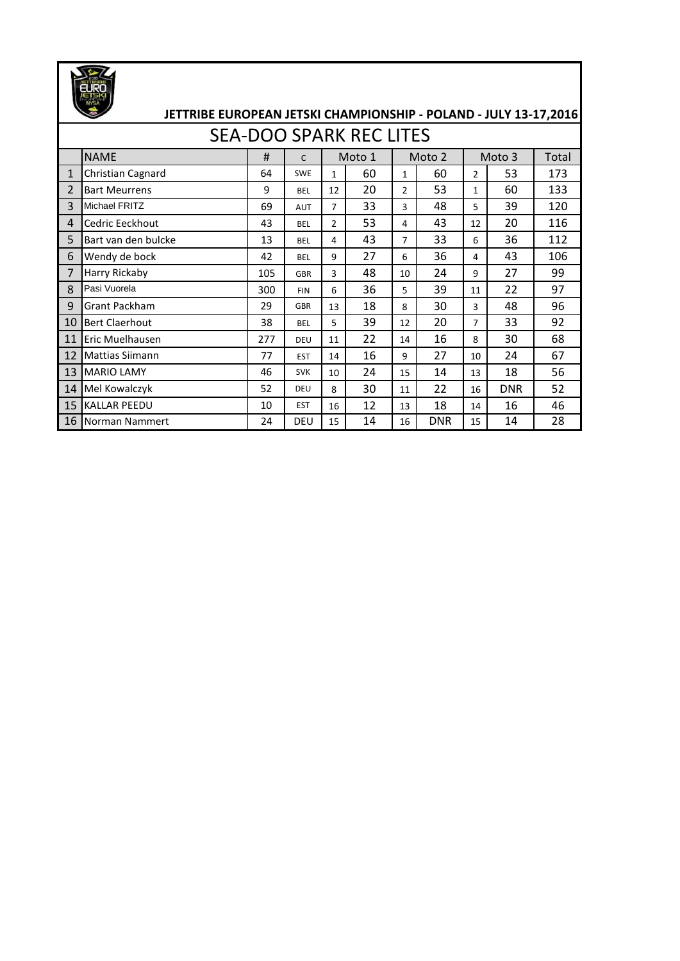

# SEA-DOO SPARK REC LITES

|                | <b>NAME</b>           | #   | C          |    | Moto 1 |                | Moto 2     |                | Moto 3     | Total |
|----------------|-----------------------|-----|------------|----|--------|----------------|------------|----------------|------------|-------|
| $\mathbf{1}$   | Christian Cagnard     | 64  | <b>SWE</b> | 1  | 60     | $\mathbf{1}$   | 60         | $\overline{2}$ | 53         | 173   |
| $\overline{2}$ | <b>Bart Meurrens</b>  | 9   | <b>BEL</b> | 12 | 20     | 2              | 53         | 1              | 60         | 133   |
| 3              | Michael FRITZ         | 69  | <b>AUT</b> | 7  | 33     | 3              | 48         | 5              | 39         | 120   |
| 4              | Cedric Eeckhout       | 43  | <b>BEL</b> | 2  | 53     | 4              | 43         | 12             | 20         | 116   |
| 5              | Bart van den bulcke   | 13  | <b>BEL</b> | 4  | 43     | $\overline{7}$ | 33         | 6              | 36         | 112   |
| 6              | Wendy de bock         | 42  | <b>BEL</b> | 9  | 27     | 6              | 36         | 4              | 43         | 106   |
| 7              | <b>Harry Rickaby</b>  | 105 | <b>GBR</b> | 3  | 48     | 10             | 24         | 9              | 27         | 99    |
| 8              | Pasi Vuorela          | 300 | <b>FIN</b> | 6  | 36     | 5              | 39         | 11             | 22         | 97    |
| 9              | Grant Packham         | 29  | <b>GBR</b> | 13 | 18     | 8              | 30         | 3              | 48         | 96    |
| 10             | <b>Bert Claerhout</b> | 38  | <b>BEL</b> | 5  | 39     | 12             | 20         | 7              | 33         | 92    |
| 11             | Eric Muelhausen       | 277 | DEU        | 11 | 22     | 14             | 16         | 8              | 30         | 68    |
| 12             | Mattias Siimann       | 77  | <b>EST</b> | 14 | 16     | 9              | 27         | 10             | 24         | 67    |
| 13             | <b>MARIO LAMY</b>     | 46  | <b>SVK</b> | 10 | 24     | 15             | 14         | 13             | 18         | 56    |
| 14             | Mel Kowalczyk         | 52  | DEU        | 8  | 30     | 11             | 22         | 16             | <b>DNR</b> | 52    |
| 15             | <b>KALLAR PEEDU</b>   | 10  | <b>EST</b> | 16 | 12     | 13             | 18         | 14             | 16         | 46    |
| 16             | Norman Nammert        | 24  | DEU        | 15 | 14     | 16             | <b>DNR</b> | 15             | 14         | 28    |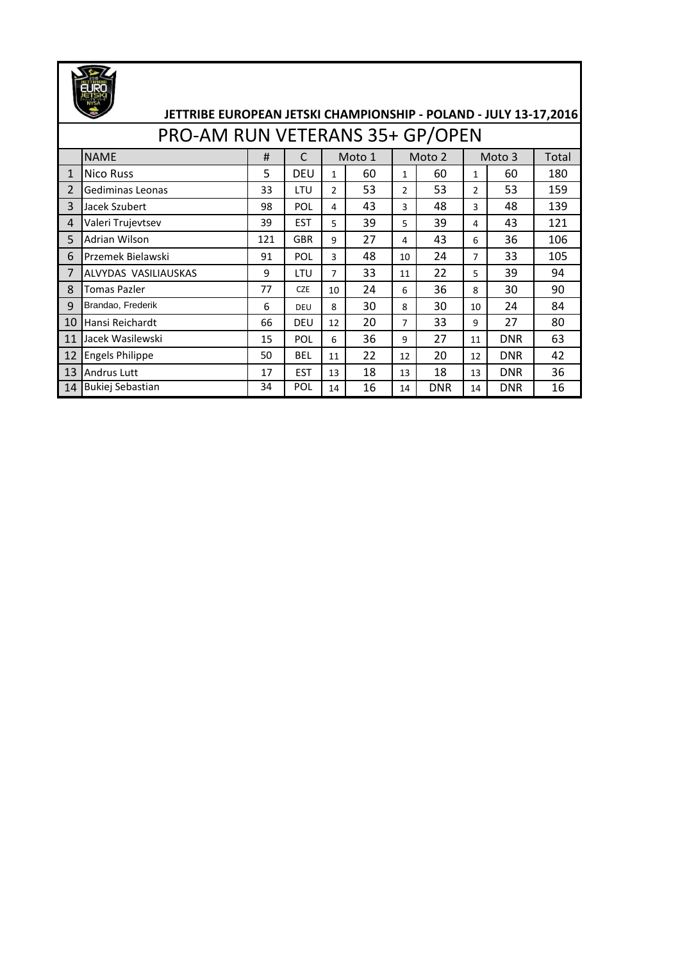

### PRO-AM RUN VETERANS 35+ GP/OPEN

|    | <b>NAME</b>            | #   | C          |    | Moto 1 |              | Moto 2     |                | Moto 3     | Total |
|----|------------------------|-----|------------|----|--------|--------------|------------|----------------|------------|-------|
| 1  | <b>Nico Russ</b>       | 5   | DEU        | 1  | 60     | $\mathbf{1}$ | 60         | $\mathbf{1}$   | 60         | 180   |
| 2  | Gediminas Leonas       | 33  | <b>LTU</b> | 2  | 53     | 2            | 53         | $\overline{2}$ | 53         | 159   |
| 3  | Jacek Szubert          | 98  | POL        | 4  | 43     | 3            | 48         | 3              | 48         | 139   |
| 4  | Valeri Trujevtsev      | 39  | <b>EST</b> | 5  | 39     | 5            | 39         | 4              | 43         | 121   |
| 5  | Adrian Wilson          | 121 | <b>GBR</b> | 9  | 27     | 4            | 43         | 6              | 36         | 106   |
| 6  | Przemek Bielawski      | 91  | POL        | 3  | 48     | 10           | 24         | 7              | 33         | 105   |
| 7  | ALVYDAS VASILIAUSKAS   | 9   | LTU        | 7  | 33     | 11           | 22         | 5              | 39         | 94    |
| 8  | Tomas Pazler           | 77  | <b>CZE</b> | 10 | 24     | 6            | 36         | 8              | 30         | 90    |
| 9  | Brandao, Frederik      | 6   | <b>DEU</b> | 8  | 30     | 8            | 30         | 10             | 24         | 84    |
| 10 | Hansi Reichardt        | 66  | DEU        | 12 | 20     | 7            | 33         | 9              | 27         | 80    |
| 11 | Jacek Wasilewski       | 15  | POL        | 6  | 36     | 9            | 27         | 11             | <b>DNR</b> | 63    |
| 12 | <b>Engels Philippe</b> | 50  | <b>BEL</b> | 11 | 22     | 12           | 20         | 12             | <b>DNR</b> | 42    |
| 13 | <b>Andrus Lutt</b>     | 17  | <b>EST</b> | 13 | 18     | 13           | 18         | 13             | <b>DNR</b> | 36    |
| 14 | Bukiej Sebastian       | 34  | POL        | 14 | 16     | 14           | <b>DNR</b> | 14             | <b>DNR</b> | 16    |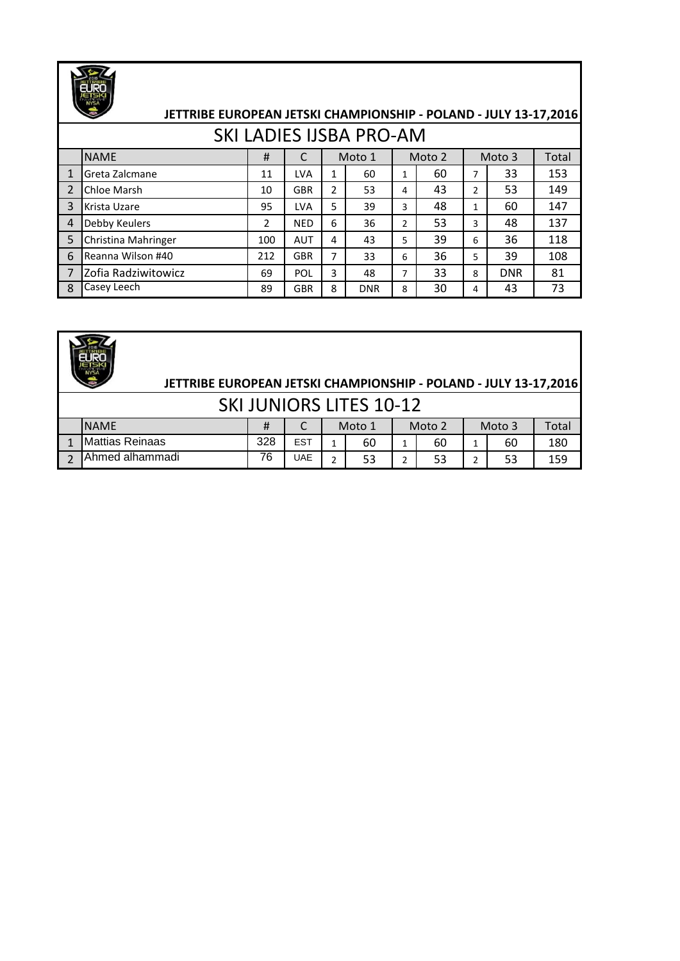

|                          |                     |                |            |   | <b>SKI LADIES IJSBA PRO-AM</b> |                |        |   |            |       |
|--------------------------|---------------------|----------------|------------|---|--------------------------------|----------------|--------|---|------------|-------|
|                          | <b>NAME</b>         | #              |            |   | Moto 1                         |                | Moto 2 |   | Moto 3     | Total |
| 1                        | Greta Zalcmane      | 11             | <b>LVA</b> | 1 | 60                             | 1              | 60     | 7 | 33         | 153   |
| $\overline{\phantom{0}}$ | Chloe Marsh         | 10             | <b>GBR</b> | 2 | 53                             | 4              | 43     | 2 | 53         | 149   |
| 3                        | Krista Uzare        | 95             | <b>LVA</b> | 5 | 39                             | 3              | 48     | 1 | 60         | 147   |
| $\overline{4}$           | Debby Keulers       | $\overline{2}$ | <b>NED</b> | 6 | 36                             | $\overline{2}$ | 53     | 3 | 48         | 137   |
| 5                        | Christina Mahringer | 100            | <b>AUT</b> | 4 | 43                             | 5              | 39     | 6 | 36         | 118   |
| 6                        | Reanna Wilson #40   | 212            | <b>GBR</b> |   | 33                             | 6              | 36     | 5 | 39         | 108   |
| $\overline{7}$           | Zofia Radziwitowicz | 69             | POL        | 3 | 48                             | 7              | 33     | 8 | <b>DNR</b> | 81    |
| $\mathsf{R}$             | Casey Leech         | 89             | <b>GBR</b> | 8 | <b>DNR</b>                     | 8              | 30     | 4 | 43         | 73    |



## **JETTRIBE EUROPEAN JETSKI CHAMPIONSHIP - POLAND - JULY 13-17,2016**

SKI JUNIORS LITES 10-12

| INAME           | Ħ   | ๛          |   | Moto |   | Moto 2 |   | Moto 3 | ota  |
|-----------------|-----|------------|---|------|---|--------|---|--------|------|
| Mattias Reinaas | 328 | <b>EST</b> | - | 60   | - | 60     | ۰ | 60     | 180  |
| Ahmed alhammadi | 76  | UAE        | - | 53   | - | 53     |   | 53     | 159. |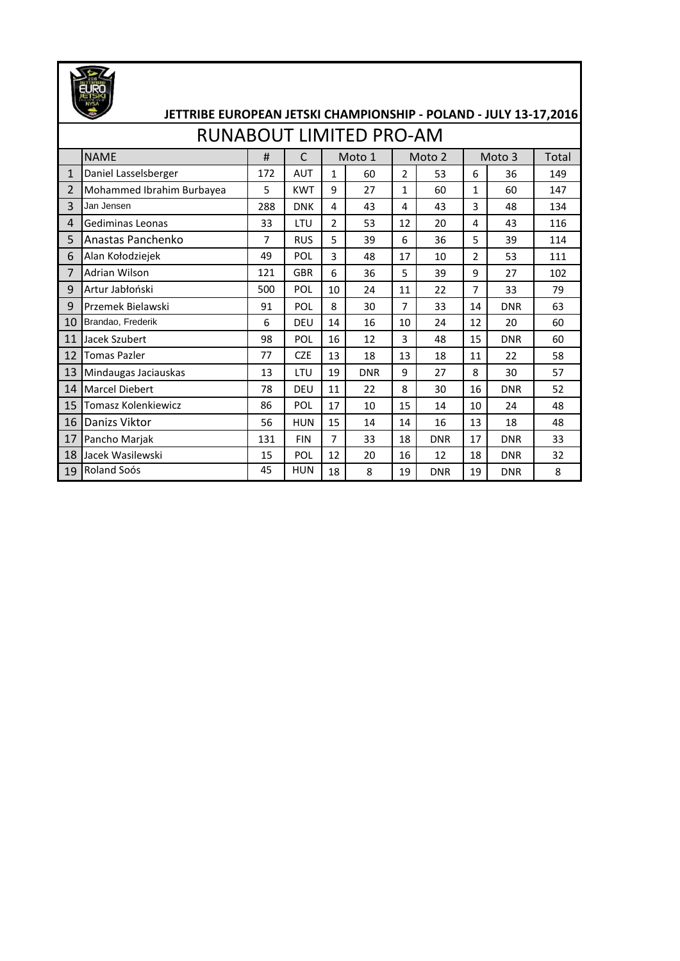

### RUNABOUT LIMITED PRO-AM

|    | NUNADUUT LIIVIITLUT NU AIVI |     |            |    |            |                |            |                |            |       |
|----|-----------------------------|-----|------------|----|------------|----------------|------------|----------------|------------|-------|
|    | <b>NAME</b>                 | #   | C          |    | Moto 1     |                | Moto 2     |                | Moto 3     | Total |
| 1  | Daniel Lasselsberger        | 172 | <b>AUT</b> | 1  | 60         | $\overline{2}$ | 53         | 6              | 36         | 149   |
| 2  | Mohammed Ibrahim Burbayea   | 5   | <b>KWT</b> | 9  | 27         | 1              | 60         | 1              | 60         | 147   |
| 3  | Jan Jensen                  | 288 | <b>DNK</b> | 4  | 43         | 4              | 43         | 3              | 48         | 134   |
| 4  | Gediminas Leonas            | 33  | LTU        | 2  | 53         | 12             | 20         | 4              | 43         | 116   |
| 5  | Anastas Panchenko           | 7   | <b>RUS</b> | 5  | 39         | 6              | 36         | 5              | 39         | 114   |
| 6  | Alan Kołodziejek            | 49  | POL        | 3  | 48         | 17             | 10         | $\overline{2}$ | 53         | 111   |
| 7  | Adrian Wilson               | 121 | <b>GBR</b> | 6  | 36         | 5              | 39         | 9              | 27         | 102   |
| 9  | Artur Jabłoński             | 500 | POL        | 10 | 24         | 11             | 22         | 7              | 33         | 79    |
| 9  | Przemek Bielawski           | 91  | POL        | 8  | 30         | 7              | 33         | 14             | <b>DNR</b> | 63    |
| 10 | Brandao, Frederik           | 6   | DEU        | 14 | 16         | 10             | 24         | 12             | 20         | 60    |
| 11 | Jacek Szubert               | 98  | POL        | 16 | 12         | 3              | 48         | 15             | <b>DNR</b> | 60    |
| 12 | <b>Tomas Pazler</b>         | 77  | <b>CZE</b> | 13 | 18         | 13             | 18         | 11             | 22         | 58    |
| 13 | Mindaugas Jaciauskas        | 13  | <b>LTU</b> | 19 | <b>DNR</b> | 9              | 27         | 8              | 30         | 57    |
| 14 | <b>Marcel Diebert</b>       | 78  | DEU        | 11 | 22         | 8              | 30         | 16             | <b>DNR</b> | 52    |
| 15 | Tomasz Kolenkiewicz         | 86  | POL        | 17 | 10         | 15             | 14         | 10             | 24         | 48    |
| 16 | Danizs Viktor               | 56  | <b>HUN</b> | 15 | 14         | 14             | 16         | 13             | 18         | 48    |
| 17 | Pancho Marjak               | 131 | <b>FIN</b> | 7  | 33         | 18             | <b>DNR</b> | 17             | <b>DNR</b> | 33    |
| 18 | Jacek Wasilewski            | 15  | POL        | 12 | 20         | 16             | 12         | 18             | <b>DNR</b> | 32    |
| 19 | Roland Soós                 | 45  | <b>HUN</b> | 18 | 8          | 19             | <b>DNR</b> | 19             | <b>DNR</b> | 8     |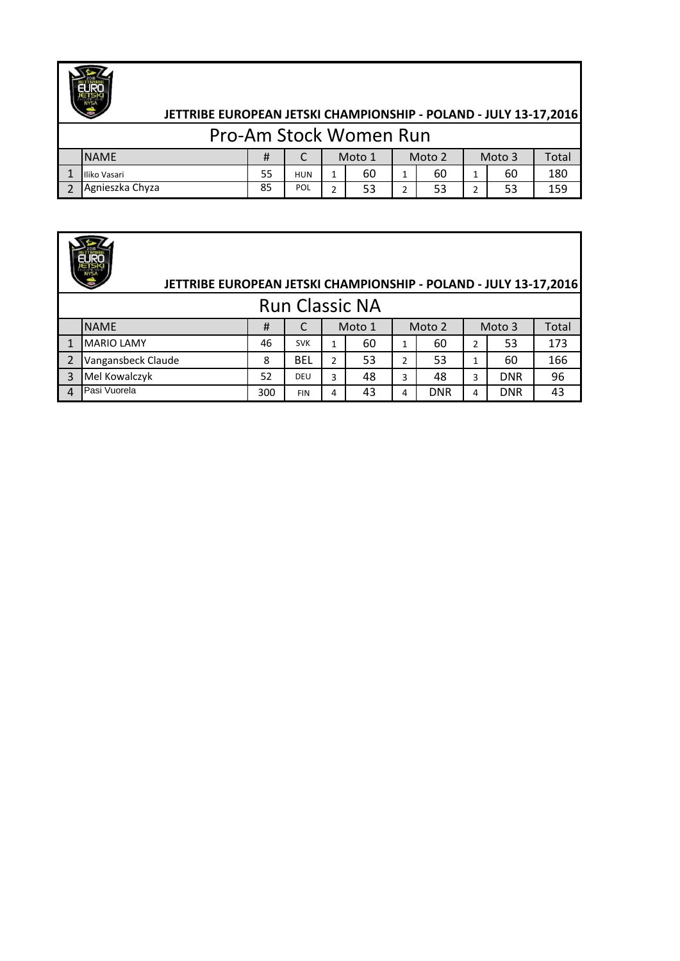

## Pro-Am Stock Women Run

| <b>NAME</b>     | Ħ  | ∽<br>֊     |   | Moto      |        | Moto |        | Moto     | Total |
|-----------------|----|------------|---|-----------|--------|------|--------|----------|-------|
| Iliko Vasari    | 55 | <b>HUN</b> |   | 60        |        | 60   | -      | 60       | 180   |
| Agnieszka Chyza | 85 | POL        | - | E O<br>ວວ | -<br>- | 53   | ∽<br>- | 52<br>၁၁ | 159   |

|                    |     | <b>Run Classic NA</b> |   |        |   |            |   |            |       |
|--------------------|-----|-----------------------|---|--------|---|------------|---|------------|-------|
| <b>NAME</b>        | #   |                       |   | Moto 1 |   | Moto 2     |   | Moto 3     | Total |
| <b>MARIO LAMY</b>  | 46  | <b>SVK</b>            |   | 60     |   | 60         |   | 53         | 173   |
| Vangansbeck Claude | 8   | <b>BEL</b>            |   | 53     | h | 53         |   | 60         | 166   |
| Mel Kowalczyk      | 52  | DEU                   | 3 | 48     | 3 | 48         | 3 | <b>DNR</b> | 96    |
| Pasi Vuorela       | 300 | <b>FIN</b>            | 4 | 43     | 4 | <b>DNR</b> | 4 | <b>DNR</b> | 43    |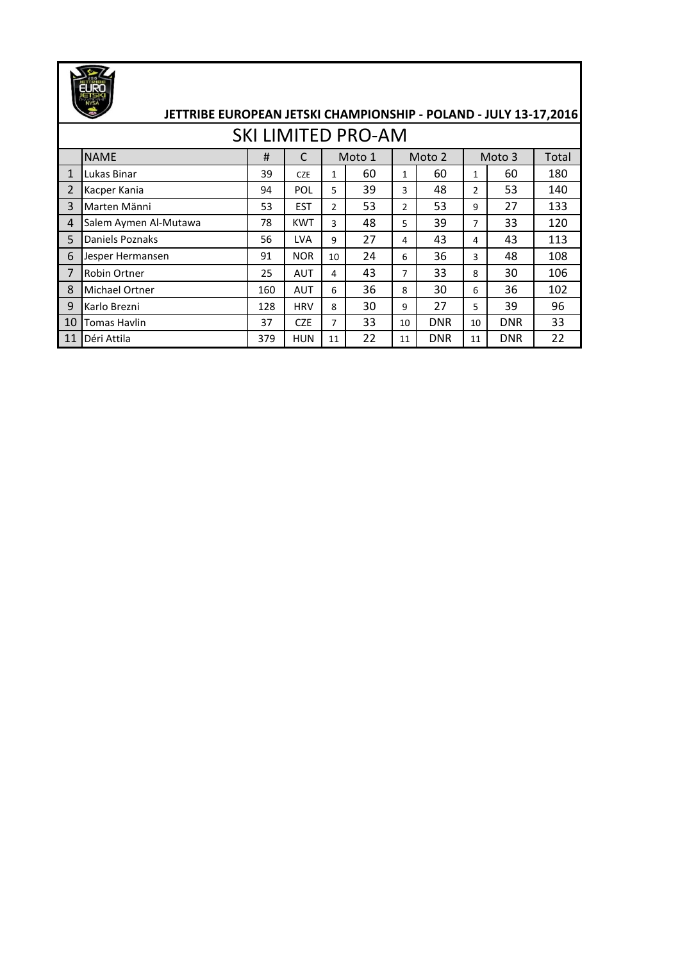

|                | <b>SKI LIMITED PRO-AM</b> |     |            |                  |    |    |            |                |            |       |  |  |  |  |  |
|----------------|---------------------------|-----|------------|------------------|----|----|------------|----------------|------------|-------|--|--|--|--|--|
|                | <b>NAME</b>               | #   | C          | Moto 2<br>Moto 1 |    |    |            |                | Moto 3     | Total |  |  |  |  |  |
| 1              | Lukas Binar               | 39  | <b>CZE</b> | $\mathbf{1}$     | 60 | 1  | 60         | 1              | 60         | 180   |  |  |  |  |  |
| $\overline{2}$ | Kacper Kania              | 94  | POL        | 5                | 39 | 3  | 48         | $\overline{2}$ | 53         | 140   |  |  |  |  |  |
| 3              | Marten Männi              | 53  | <b>EST</b> | $\overline{2}$   | 53 | 2  | 53         | 9              | 27         | 133   |  |  |  |  |  |
| $\overline{4}$ | Salem Aymen Al-Mutawa     | 78  | <b>KWT</b> | 3                | 48 | 5  | 39         | 7              | 33         | 120   |  |  |  |  |  |
| 5              | <b>Daniels Poznaks</b>    | 56  | <b>LVA</b> | 9                | 27 | 4  | 43         | 4              | 43         | 113   |  |  |  |  |  |
| 6              | Jesper Hermansen          | 91  | <b>NOR</b> | 10               | 24 | 6  | 36         | 3              | 48         | 108   |  |  |  |  |  |
| 7              | <b>Robin Ortner</b>       | 25  | <b>AUT</b> | 4                | 43 | 7  | 33         | 8              | 30         | 106   |  |  |  |  |  |
| 8              | Michael Ortner            | 160 | <b>AUT</b> | 6                | 36 | 8  | 30         | 6              | 36         | 102   |  |  |  |  |  |
| 9              | Karlo Brezni              | 128 | <b>HRV</b> | 8                | 30 | 9  | 27         | 5              | 39         | 96    |  |  |  |  |  |
| 10             | Tomas Havlin              | 37  | <b>CZE</b> | 7                | 33 | 10 | <b>DNR</b> | 10             | <b>DNR</b> | 33    |  |  |  |  |  |
| 11             | Déri Attila               | 379 | <b>HUN</b> | 11               | 22 | 11 | <b>DNR</b> | 11             | <b>DNR</b> | 22    |  |  |  |  |  |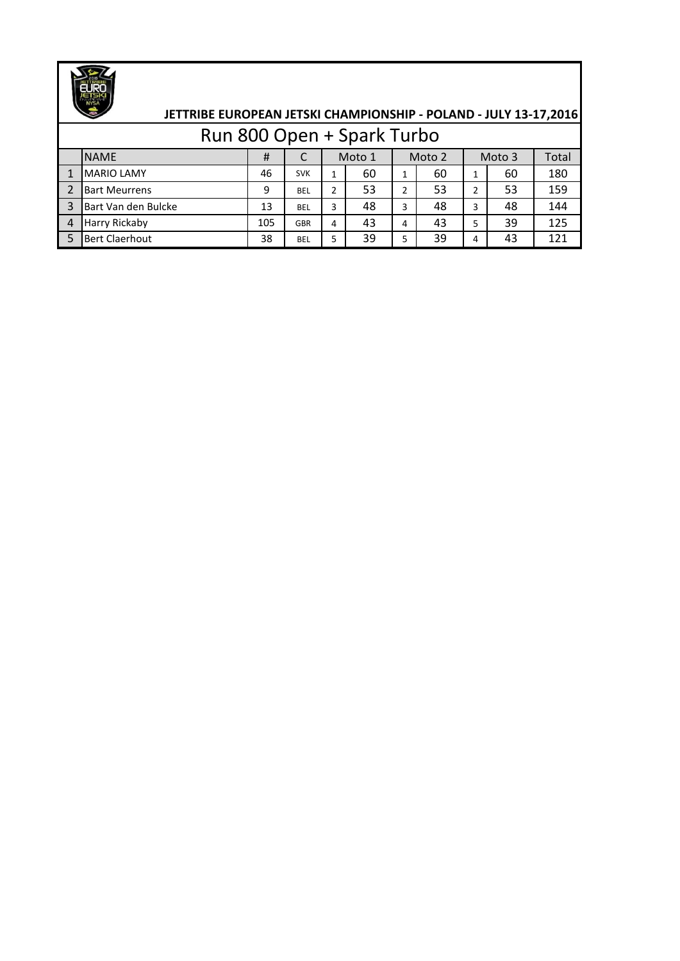

|   | Run 800 Open + Spark Turbo |     |            |        |    |        |    |        |    |       |  |  |  |  |
|---|----------------------------|-----|------------|--------|----|--------|----|--------|----|-------|--|--|--|--|
|   | <b>INAME</b>               | #   |            | Moto 1 |    | Moto 2 |    | Moto 3 |    | Total |  |  |  |  |
|   | <b>IMARIO LAMY</b>         | 46  | <b>SVK</b> |        | 60 |        | 60 |        | 60 | 180   |  |  |  |  |
|   | <b>Bart Meurrens</b>       | 9   | <b>BEL</b> | 2      | 53 | 2      | 53 | 2      | 53 | 159   |  |  |  |  |
| 3 | <b>Bart Van den Bulcke</b> | 13  | <b>BEL</b> | 3      | 48 | 3      | 48 | 3      | 48 | 144   |  |  |  |  |
|   | Harry Rickaby              | 105 | <b>GBR</b> | 4      | 43 | 4      | 43 | 5      | 39 | 125   |  |  |  |  |
|   | Bert Claerhout             | 38  | <b>BEL</b> | 5      | 39 | 5      | 39 | 4      | 43 | 121   |  |  |  |  |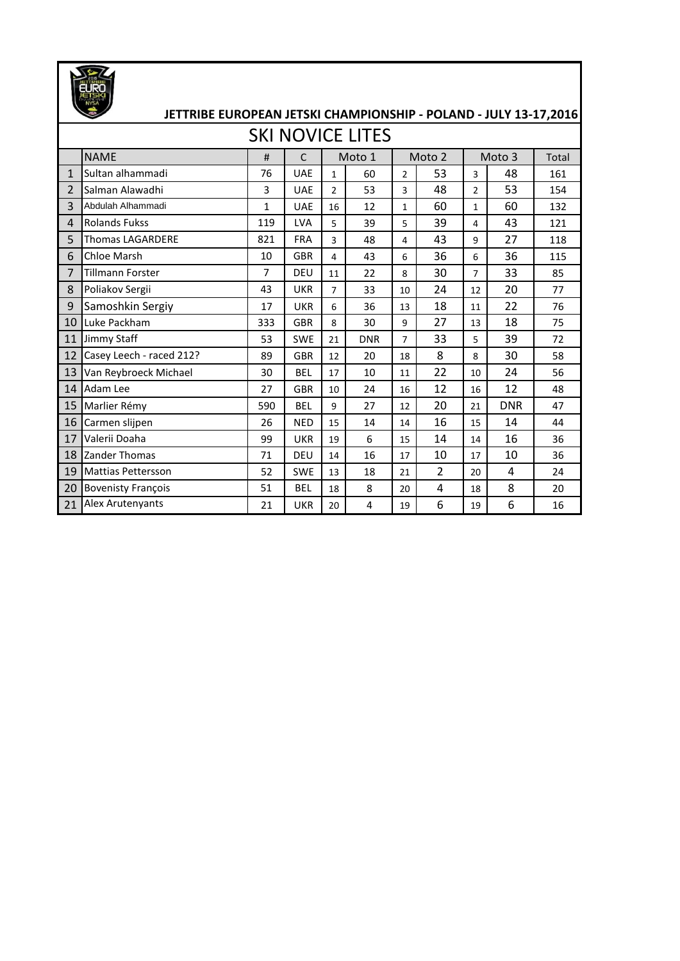

|                | <b>SKI NOVICE LITES</b>   |              |            |                |            |                |                |                |            |       |  |  |  |  |
|----------------|---------------------------|--------------|------------|----------------|------------|----------------|----------------|----------------|------------|-------|--|--|--|--|
|                | <b>NAME</b>               | #            | C          |                | Moto 1     |                | Moto 2         |                | Moto 3     | Total |  |  |  |  |
| 1              | Sultan alhammadi          | 76           | <b>UAE</b> | $\mathbf{1}$   | 60         | $\overline{2}$ | 53             | 3              | 48         | 161   |  |  |  |  |
| $\overline{2}$ | Salman Alawadhi           | 3            | <b>UAE</b> | $\overline{2}$ | 53         | 3              | 48             | $\overline{2}$ | 53         | 154   |  |  |  |  |
| 3              | Abdulah Alhammadi         | $\mathbf{1}$ | <b>UAE</b> | 16             | 12         | 1              | 60             | 1              | 60         | 132   |  |  |  |  |
| $\overline{4}$ | <b>Rolands Fukss</b>      | 119          | <b>LVA</b> | 5              | 39         | 5              | 39             | 4              | 43         | 121   |  |  |  |  |
| 5              | <b>Thomas LAGARDERE</b>   | 821          | <b>FRA</b> | 3              | 48         | 4              | 43             | 9              | 27         | 118   |  |  |  |  |
| 6              | <b>Chloe Marsh</b>        | 10           | <b>GBR</b> | 4              | 43         | 6              | 36             | 6              | 36         | 115   |  |  |  |  |
| 7              | <b>Tillmann Forster</b>   | 7            | DEU        | 11             | 22         | 8              | 30             | 7              | 33         | 85    |  |  |  |  |
| 8              | Poliakov Sergii           | 43           | <b>UKR</b> | 7              | 33         | 10             | 24             | 12             | 20         | 77    |  |  |  |  |
| 9              | Samoshkin Sergiy          | 17           | <b>UKR</b> | 6              | 36         | 13             | 18             | 11             | 22         | 76    |  |  |  |  |
| 10             | Luke Packham              | 333          | <b>GBR</b> | 8              | 30         | 9              | 27             | 13             | 18         | 75    |  |  |  |  |
| 11             | Jimmy Staff               | 53           | <b>SWE</b> | 21             | <b>DNR</b> | $\overline{7}$ | 33             | 5              | 39         | 72    |  |  |  |  |
| 12             | Casey Leech - raced 212?  | 89           | <b>GBR</b> | 12             | 20         | 18             | 8              | 8              | 30         | 58    |  |  |  |  |
| 13             | Van Reybroeck Michael     | 30           | <b>BEL</b> | 17             | 10         | 11             | 22             | 10             | 24         | 56    |  |  |  |  |
| 14             | Adam Lee                  | 27           | <b>GBR</b> | 10             | 24         | 16             | 12             | 16             | 12         | 48    |  |  |  |  |
| 15             | Marlier Rémy              | 590          | <b>BEL</b> | 9              | 27         | 12             | 20             | 21             | <b>DNR</b> | 47    |  |  |  |  |
| 16             | Carmen slijpen            | 26           | <b>NED</b> | 15             | 14         | 14             | 16             | 15             | 14         | 44    |  |  |  |  |
| 17             | Valerii Doaha             | 99           | <b>UKR</b> | 19             | 6          | 15             | 14             | 14             | 16         | 36    |  |  |  |  |
| 18             | Zander Thomas             | 71           | DEU        | 14             | 16         | 17             | 10             | 17             | 10         | 36    |  |  |  |  |
| 19             | <b>Mattias Pettersson</b> | 52           | <b>SWE</b> | 13             | 18         | 21             | $\overline{2}$ | 20             | 4          | 24    |  |  |  |  |
| 20             | <b>Bovenisty François</b> | 51           | <b>BEL</b> | 18             | 8          | 20             | 4              | 18             | 8          | 20    |  |  |  |  |
| 21             | Alex Arutenyants          | 21           | <b>UKR</b> | 20             | 4          | 19             | 6              | 19             | 6          | 16    |  |  |  |  |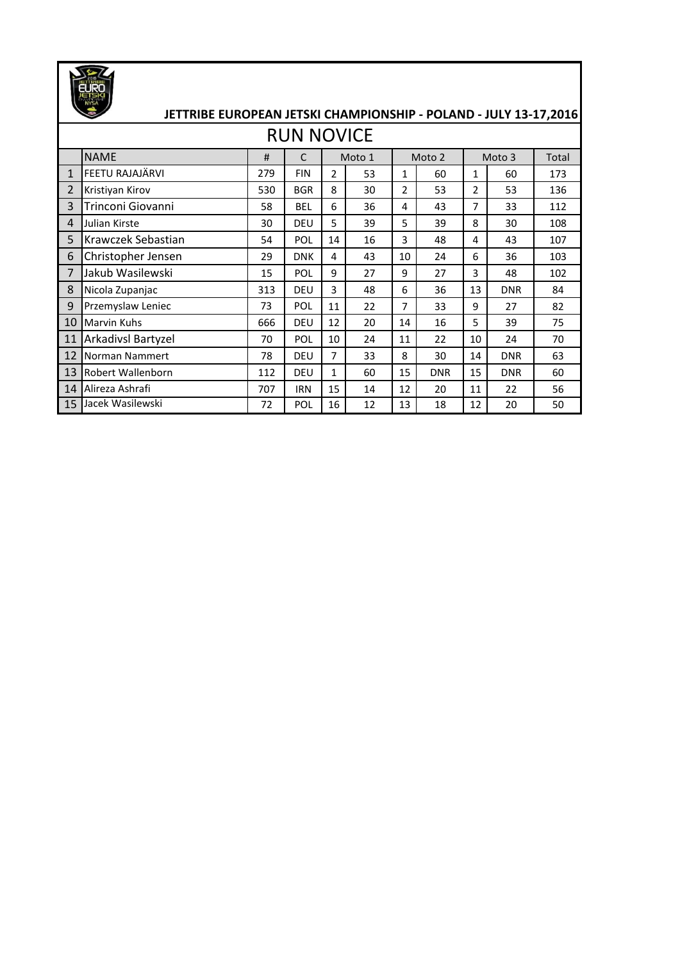

|                | <b>RUN NOVICE</b>  |     |            |        |    |                |            |                |            |     |  |  |  |  |
|----------------|--------------------|-----|------------|--------|----|----------------|------------|----------------|------------|-----|--|--|--|--|
|                | <b>NAME</b>        | #   | C          | Moto 1 |    | Moto 2         |            | Moto 3         | Total      |     |  |  |  |  |
| $\mathbf{1}$   | FEETU RAJAJÄRVI    | 279 | <b>FIN</b> | 2      | 53 | $\mathbf{1}$   | 60         | 1              | 60         | 173 |  |  |  |  |
| 2              | Kristiyan Kirov    | 530 | <b>BGR</b> | 8      | 30 | $\overline{2}$ | 53         | $\overline{2}$ | 53         | 136 |  |  |  |  |
| 3              | Trinconi Giovanni  | 58  | <b>BEL</b> | 6      | 36 | 4              | 43         | 7              | 33         | 112 |  |  |  |  |
| $\overline{4}$ | Julian Kirste      | 30  | <b>DEU</b> | 5      | 39 | 5              | 39         | 8              | 30         | 108 |  |  |  |  |
| 5              | Krawczek Sebastian | 54  | POL        | 14     | 16 | 3              | 48         | 4              | 43         | 107 |  |  |  |  |
| 6              | Christopher Jensen | 29  | <b>DNK</b> | 4      | 43 | 10             | 24         | 6              | 36         | 103 |  |  |  |  |
| 7              | Jakub Wasilewski   | 15  | POL        | 9      | 27 | 9              | 27         | 3              | 48         | 102 |  |  |  |  |
| 8              | Nicola Zupanjac    | 313 | <b>DEU</b> | 3      | 48 | 6              | 36         | 13             | <b>DNR</b> | 84  |  |  |  |  |
| 9              | Przemyslaw Leniec  | 73  | POL        | 11     | 22 | 7              | 33         | 9              | 27         | 82  |  |  |  |  |
| 10             | <b>Marvin Kuhs</b> | 666 | <b>DEU</b> | 12     | 20 | 14             | 16         | 5              | 39         | 75  |  |  |  |  |
| 11             | Arkadivsl Bartyzel | 70  | POL        | 10     | 24 | 11             | 22         | 10             | 24         | 70  |  |  |  |  |
| 12             | Norman Nammert     | 78  | <b>DEU</b> | 7      | 33 | 8              | 30         | 14             | <b>DNR</b> | 63  |  |  |  |  |
| 13             | Robert Wallenborn  | 112 | <b>DEU</b> | 1      | 60 | 15             | <b>DNR</b> | 15             | <b>DNR</b> | 60  |  |  |  |  |
| 14             | Alireza Ashrafi    | 707 | <b>IRN</b> | 15     | 14 | 12             | 20         | 11             | 22         | 56  |  |  |  |  |
| 15             | Jacek Wasilewski   | 72  | POL        | 16     | 12 | 13             | 18         | 12             | 20         | 50  |  |  |  |  |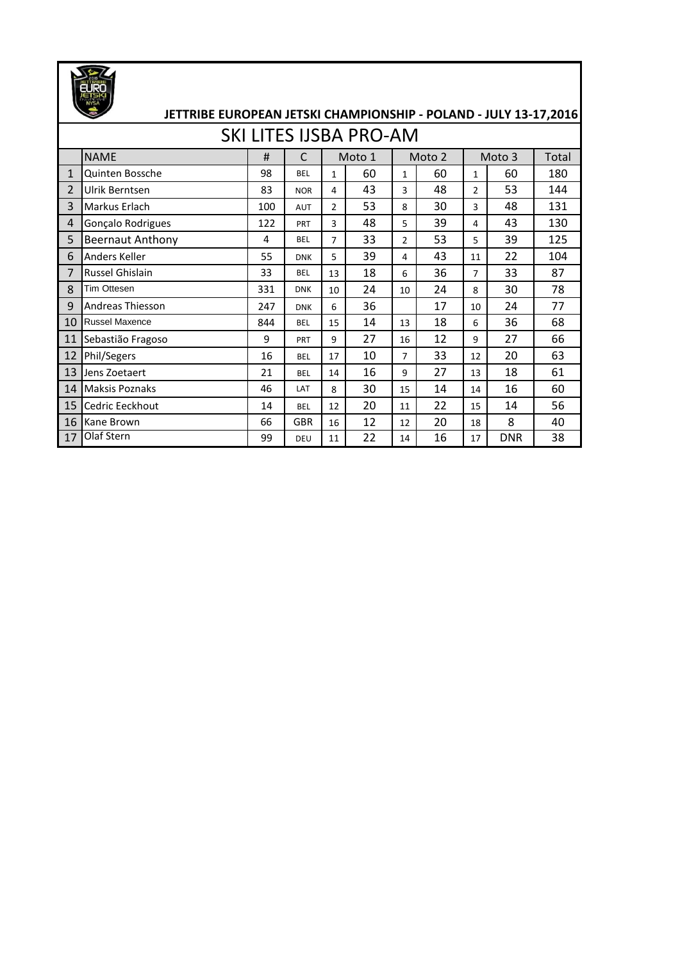

|    | <b>SKI LITES IJSBA PRO-AM</b> |     |            |                |        |                |        |    |            |       |  |  |  |  |
|----|-------------------------------|-----|------------|----------------|--------|----------------|--------|----|------------|-------|--|--|--|--|
|    | <b>NAME</b>                   | #   | C          |                | Moto 1 |                | Moto 2 |    | Moto 3     | Total |  |  |  |  |
| 1  | Quinten Bossche               | 98  | <b>BEL</b> | $\mathbf{1}$   | 60     | $\mathbf{1}$   | 60     | 1  | 60         | 180   |  |  |  |  |
| 2  | Ulrik Berntsen                | 83  | <b>NOR</b> | 4              | 43     | 3              | 48     | 2  | 53         | 144   |  |  |  |  |
| 3  | Markus Erlach                 | 100 | <b>AUT</b> | $\overline{2}$ | 53     | 8              | 30     | 3  | 48         | 131   |  |  |  |  |
| 4  | Gonçalo Rodrigues             | 122 | PRT        | 3              | 48     | 5              | 39     | 4  | 43         | 130   |  |  |  |  |
| 5  | <b>Beernaut Anthony</b>       | 4   | <b>BEL</b> | 7              | 33     | $\overline{2}$ | 53     | 5  | 39         | 125   |  |  |  |  |
| 6  | <b>Anders Keller</b>          | 55  | <b>DNK</b> | 5              | 39     | 4              | 43     | 11 | 22         | 104   |  |  |  |  |
| 7  | Russel Ghislain               | 33  | <b>BEL</b> | 13             | 18     | 6              | 36     | 7  | 33         | 87    |  |  |  |  |
| 8  | Tim Ottesen                   | 331 | <b>DNK</b> | 10             | 24     | 10             | 24     | 8  | 30         | 78    |  |  |  |  |
| 9  | Andreas Thiesson              | 247 | <b>DNK</b> | 6              | 36     |                | 17     | 10 | 24         | 77    |  |  |  |  |
| 10 | <b>Russel Maxence</b>         | 844 | <b>BEL</b> | 15             | 14     | 13             | 18     | 6  | 36         | 68    |  |  |  |  |
| 11 | Sebastião Fragoso             | 9   | <b>PRT</b> | 9              | 27     | 16             | 12     | 9  | 27         | 66    |  |  |  |  |
| 12 | Phil/Segers                   | 16  | <b>BEL</b> | 17             | 10     | 7              | 33     | 12 | 20         | 63    |  |  |  |  |
| 13 | Jens Zoetaert                 | 21  | <b>BEL</b> | 14             | 16     | 9              | 27     | 13 | 18         | 61    |  |  |  |  |
| 14 | <b>Maksis Poznaks</b>         | 46  | LAT        | 8              | 30     | 15             | 14     | 14 | 16         | 60    |  |  |  |  |
| 15 | Cedric Eeckhout               | 14  | <b>BEL</b> | 12             | 20     | 11             | 22     | 15 | 14         | 56    |  |  |  |  |
| 16 | Kane Brown                    | 66  | <b>GBR</b> | 16             | 12     | 12             | 20     | 18 | 8          | 40    |  |  |  |  |
| 17 | Olaf Stern                    | 99  | DEU        | 11             | 22     | 14             | 16     | 17 | <b>DNR</b> | 38    |  |  |  |  |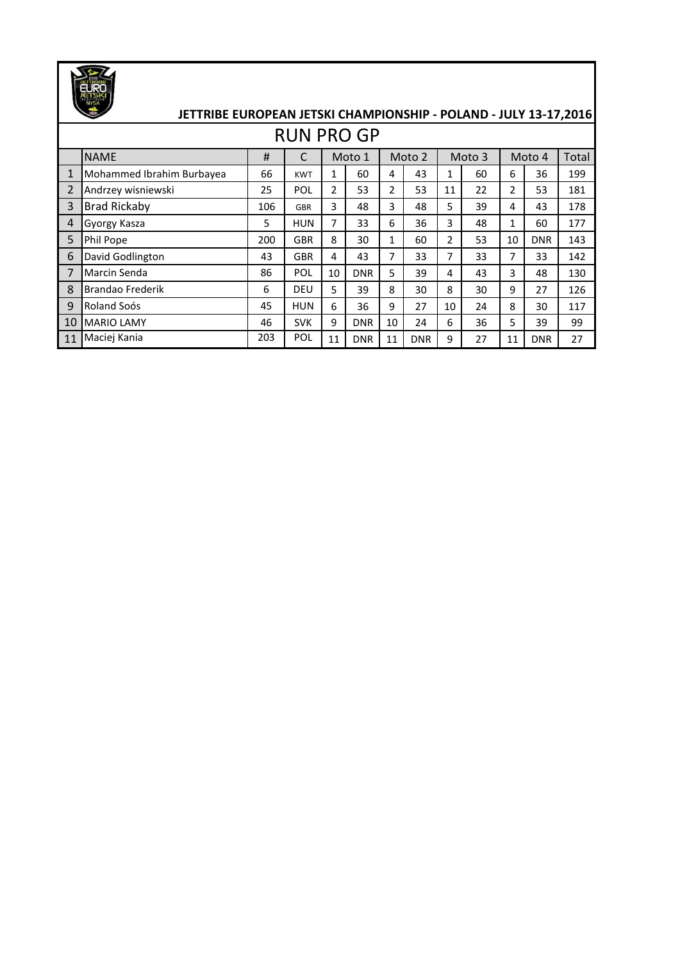

|                | <b>RUN PRO GP</b>         |     |            |                            |            |    |            |    |    |              |            |       |  |  |  |
|----------------|---------------------------|-----|------------|----------------------------|------------|----|------------|----|----|--------------|------------|-------|--|--|--|
|                | <b>NAME</b>               | #   | C          | Moto 2<br>Moto 3<br>Moto 1 |            |    |            |    |    |              | Moto 4     | Total |  |  |  |
| 1              | Mohammed Ibrahim Burbayea | 66  | <b>KWT</b> | $\mathbf{1}$               | 60         | 4  | 43         | 1  | 60 | 6            | 36         | 199   |  |  |  |
| $\overline{2}$ | Andrzey wisniewski        | 25  | <b>POL</b> | 2                          | 53         | 2  | 53         | 11 | 22 | 2            | 53         | 181   |  |  |  |
| $\overline{3}$ | <b>Brad Rickaby</b>       | 106 | <b>GBR</b> | 3                          | 48         | 3  | 48         | 5  | 39 | 4            | 43         | 178   |  |  |  |
| $\overline{4}$ | Gyorgy Kasza              | 5   | <b>HUN</b> | 7                          | 33         | 6  | 36         | 3  | 48 | $\mathbf{1}$ | 60         | 177   |  |  |  |
| .5             | Phil Pope                 | 200 | <b>GBR</b> | 8                          | 30         | 1  | 60         | 2  | 53 | 10           | <b>DNR</b> | 143   |  |  |  |
| 6              | David Godlington          | 43  | <b>GBR</b> | 4                          | 43         | 7  | 33         | 7  | 33 | 7            | 33         | 142   |  |  |  |
| 7              | Marcin Senda              | 86  | POL        | 10                         | <b>DNR</b> | 5  | 39         | 4  | 43 | 3            | 48         | 130   |  |  |  |
| 8              | <b>Brandao Frederik</b>   | 6   | <b>DEU</b> | 5                          | 39         | 8  | 30         | 8  | 30 | 9            | 27         | 126   |  |  |  |
| 9              | Roland Soós               | 45  | <b>HUN</b> | 6                          | 36         | 9  | 27         | 10 | 24 | 8            | 30         | 117   |  |  |  |
| 10             | <b>MARIO LAMY</b>         | 46  | <b>SVK</b> | 9                          | <b>DNR</b> | 10 | 24         | 6  | 36 | 5            | 39         | 99    |  |  |  |
| 11             | Maciej Kania              | 203 | POL        | 11                         | <b>DNR</b> | 11 | <b>DNR</b> | 9  | 27 | 11           | <b>DNR</b> | 27    |  |  |  |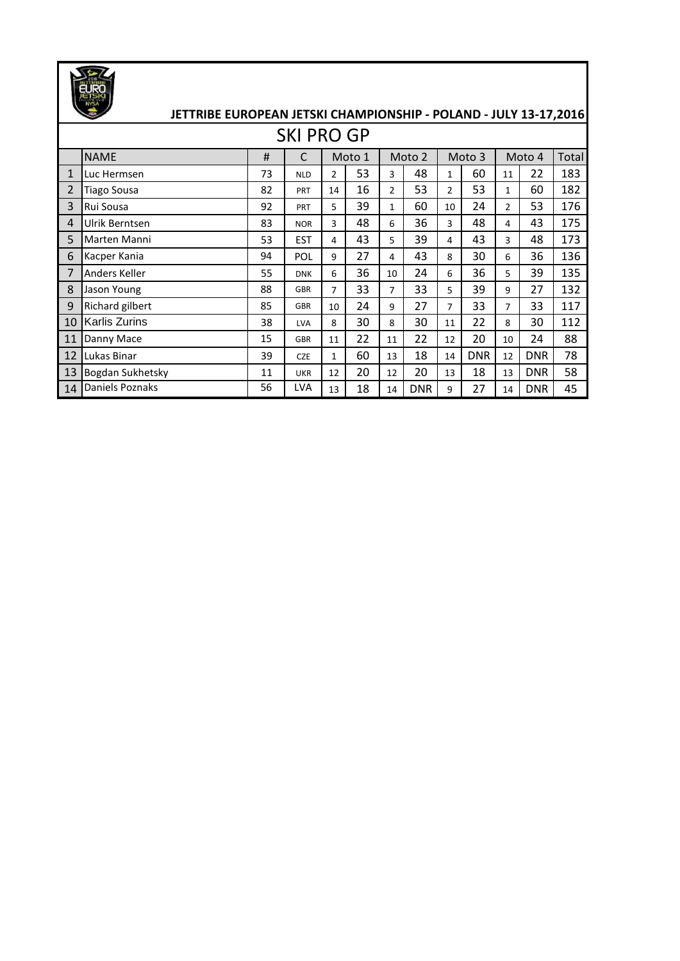

|    | <b>SKI PRO GP</b>    |    |            |                |        |                |            |                |            |    |            |       |  |  |
|----|----------------------|----|------------|----------------|--------|----------------|------------|----------------|------------|----|------------|-------|--|--|
|    | <b>NAME</b>          | #  | C          |                | Moto 1 |                | Moto 2     |                | Moto 3     |    | Moto 4     | Total |  |  |
| 1  | Luc Hermsen          | 73 | <b>NLD</b> | 2              | 53     | 3              | 48         | $\mathbf 1$    | 60         | 11 | 22         | 183   |  |  |
| 2  | <b>Tiago Sousa</b>   | 82 | PRT        | 14             | 16     | $\overline{2}$ | 53         | $\overline{2}$ | 53         | 1  | 60         | 182   |  |  |
| 3  | Rui Sousa            | 92 | PRT        | 5              | 39     | 1              | 60         | 10             | 24         | 2  | 53         | 176   |  |  |
| 4  | Ulrik Berntsen       | 83 | <b>NOR</b> | $\overline{3}$ | 48     | 6              | 36         | 3              | 48         | 4  | 43         | 175   |  |  |
| 5  | Marten Manni         | 53 | <b>EST</b> | 4              | 43     | 5              | 39         | 4              | 43         | 3  | 48         | 173   |  |  |
| 6  | Kacper Kania         | 94 | POL        | 9              | 27     | 4              | 43         | 8              | 30         | 6  | 36         | 136   |  |  |
| 7  | Anders Keller        | 55 | <b>DNK</b> | 6              | 36     | 10             | 24         | 6              | 36         | 5  | 39         | 135   |  |  |
| 8  | Jason Young          | 88 | <b>GBR</b> | $\overline{7}$ | 33     | $\overline{7}$ | 33         | 5.             | 39         | 9  | 27         | 132   |  |  |
| 9  | Richard gilbert      | 85 | <b>GBR</b> | 10             | 24     | 9              | 27         | 7              | 33         | 7  | 33         | 117   |  |  |
| 10 | <b>Karlis Zurins</b> | 38 | <b>LVA</b> | 8              | 30     | 8              | 30         | 11             | 22         | 8  | 30         | 112   |  |  |
| 11 | Danny Mace           | 15 | <b>GBR</b> | 11             | 22     | 11             | 22         | 12             | 20         | 10 | 24         | 88    |  |  |
| 12 | Lukas Binar          | 39 | <b>CZE</b> | 1              | 60     | 13             | 18         | 14             | <b>DNR</b> | 12 | <b>DNR</b> | 78    |  |  |
| 13 | Bogdan Sukhetsky     | 11 | <b>UKR</b> | 12             | 20     | 12             | 20         | 13             | 18         | 13 | <b>DNR</b> | 58    |  |  |
| 14 | Daniels Poznaks      | 56 | LVA        | 13             | 18     | 14             | <b>DNR</b> | 9              | 27         | 14 | <b>DNR</b> | 45    |  |  |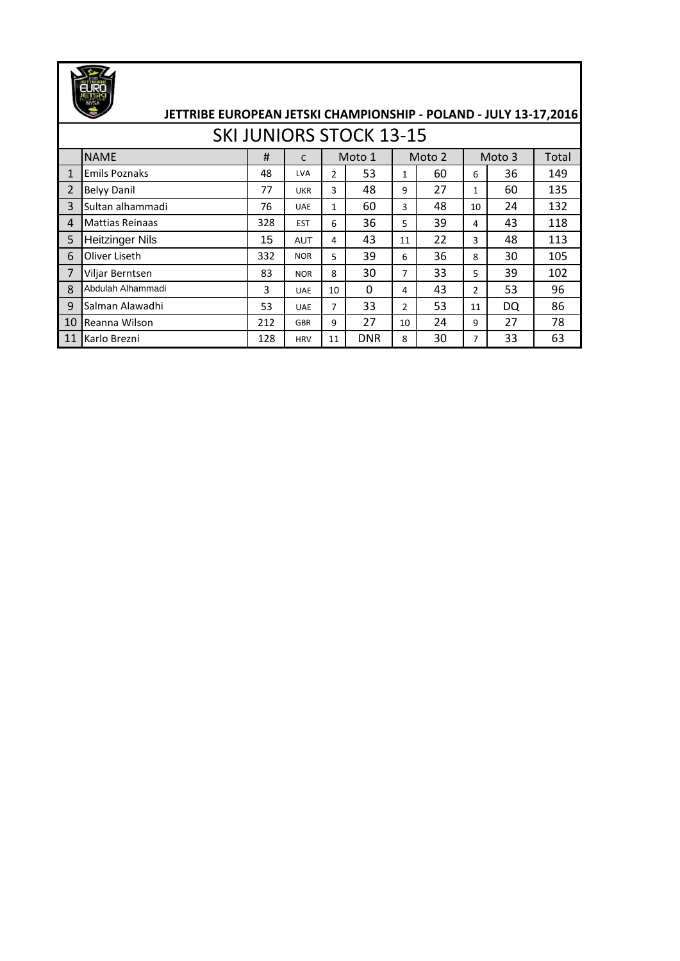

|                | <b>SKI JUNIORS STOCK 13-15</b> |     |              |    |            |                |        |                |           |       |  |  |  |  |
|----------------|--------------------------------|-----|--------------|----|------------|----------------|--------|----------------|-----------|-------|--|--|--|--|
|                | <b>NAME</b>                    | #   | $\mathsf{C}$ |    | Moto 1     |                | Moto 2 |                | Moto 3    | Total |  |  |  |  |
| $\mathbf{1}$   | <b>Emils Poznaks</b>           | 48  | <b>LVA</b>   | 2  | 53         | 1              | 60     | 6              | 36        | 149   |  |  |  |  |
| $\overline{2}$ | <b>Belvy Danil</b>             | 77  | <b>UKR</b>   | 3  | 48         | 9              | 27     | $\mathbf{1}$   | 60        | 135   |  |  |  |  |
| $\overline{3}$ | Sultan alhammadi               | 76  | <b>UAE</b>   | 1  | 60         | 3              | 48     | 10             | 24        | 132   |  |  |  |  |
| 4              | <b>Mattias Reinaas</b>         | 328 | <b>EST</b>   | 6  | 36         | 5              | 39     | 4              | 43        | 118   |  |  |  |  |
| 5              | <b>Heitzinger Nils</b>         | 15  | <b>AUT</b>   | 4  | 43         | 11             | 22     | 3              | 48        | 113   |  |  |  |  |
| 6              | Oliver Liseth                  | 332 | <b>NOR</b>   | 5  | 39         | 6              | 36     | 8              | 30        | 105   |  |  |  |  |
| $\overline{7}$ | Viljar Berntsen                | 83  | <b>NOR</b>   | 8  | 30         | 7              | 33     | 5              | 39        | 102   |  |  |  |  |
| 8              | Abdulah Alhammadi              | 3   | <b>UAE</b>   | 10 | 0          | 4              | 43     | $\overline{2}$ | 53        | 96    |  |  |  |  |
| 9              | Salman Alawadhi                | 53  | <b>UAE</b>   | 7  | 33         | $\overline{2}$ | 53     | 11             | <b>DQ</b> | 86    |  |  |  |  |
| 10             | Reanna Wilson                  | 212 | <b>GBR</b>   | 9  | 27         | 10             | 24     | 9              | 27        | 78    |  |  |  |  |
| 11             | Karlo Brezni                   | 128 | <b>HRV</b>   | 11 | <b>DNR</b> | 8              | 30     | $\overline{7}$ | 33        | 63    |  |  |  |  |